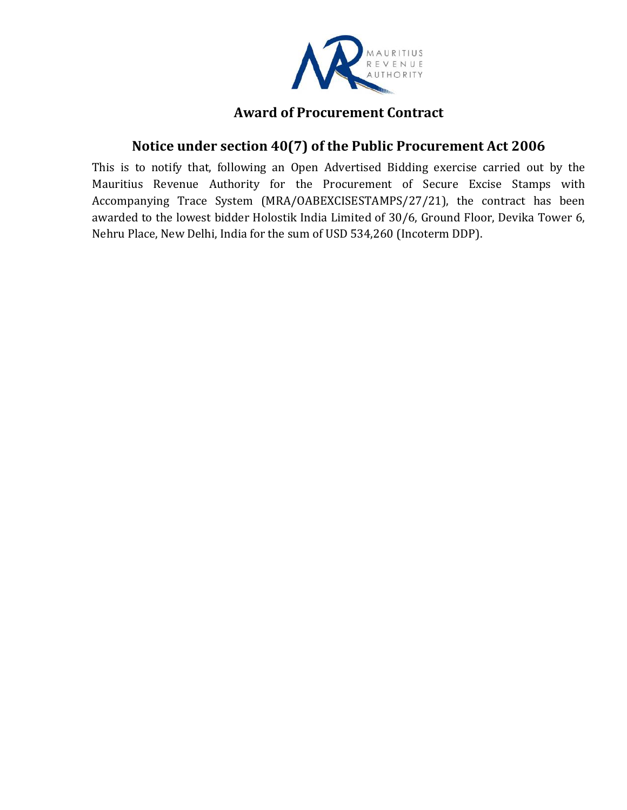

## **Award of Procurement Contract**

## **Notice under section 40(7) of the Public Procurement Act 2006**

This is to notify that, following an Open Advertised Bidding exercise carried out by the Mauritius Revenue Authority for the Procurement of Secure Excise Stamps with Accompanying Trace System (MRA/OABEXCISESTAMPS/27/21), the contract has been awarded to the lowest bidder Holostik India Limited of 30/6, Ground Floor, Devika Tower 6, Nehru Place, New Delhi, India for the sum of USD 534,260 (Incoterm DDP).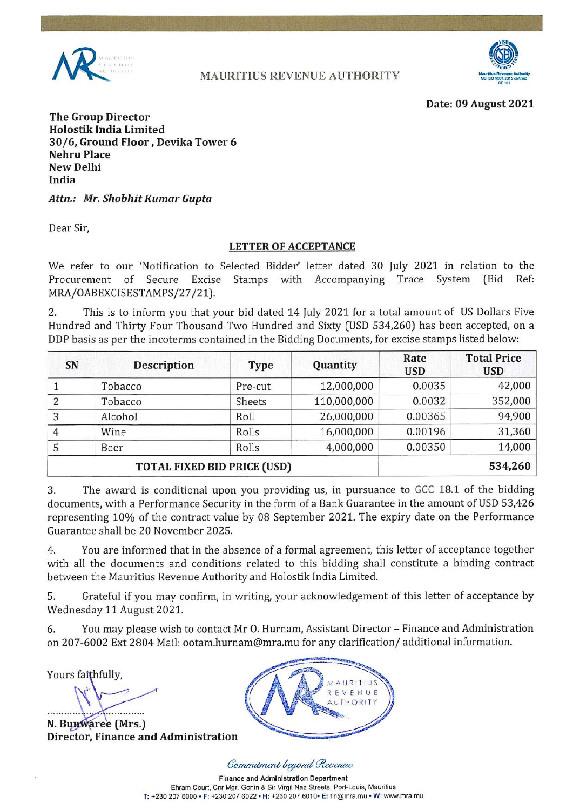

**MAURITIUS REVENUE AUTHORITY** 



Date: 09 August 2021

**The Group Director Holostik India Limited** 30/6, Ground Floor, Devika Tower 6 **Nehru Place New Delhi** India

Attn.: Mr. Shobhit Kumar Gupta

Dear Sir,

#### **LETTER OF ACCEPTANCE**

We refer to our 'Notification to Selected Bidder' letter dated 30 July 2021 in relation to the Procurement of Secure Excise Stamps with Accompanying Trace System (Bid Ref: MRA/OABEXCISESTAMPS/27/21).

 $2.$ This is to inform you that your bid dated 14 July 2021 for a total amount of US Dollars Five Hundred and Thirty Four Thousand Two Hundred and Sixty (USD 534,260) has been accepted, on a DDP basis as per the incoterms contained in the Bidding Documents, for excise stamps listed below:

| SN                                 | <b>Description</b> | <b>Type</b> | Quantity    | Rate<br><b>USD</b> | <b>Total Price</b><br><b>USD</b> |
|------------------------------------|--------------------|-------------|-------------|--------------------|----------------------------------|
|                                    | Tobacco            | Pre-cut     | 12,000,000  | 0.0035             | 42,000                           |
| $\overline{2}$                     | Tobacco            | Sheets      | 110,000,000 | 0.0032             | 352,000                          |
| 3                                  | Alcohol            | Roll        | 26,000,000  | 0.00365            | 94,900                           |
| 4                                  | Wine               | Rolls       | 16,000,000  | 0.00196            | 31,360                           |
| 5                                  | Beer               | Rolls       | 4,000,000   | 0.00350            | 14,000                           |
| <b>TOTAL FIXED BID PRICE (USD)</b> |                    |             |             |                    | 534,260                          |

The award is conditional upon you providing us, in pursuance to GCC 18.1 of the bidding 3. documents, with a Performance Security in the form of a Bank Guarantee in the amount of USD 53,426 representing 10% of the contract value by 08 September 2021. The expiry date on the Performance Guarantee shall be 20 November 2025.

 $4.$ You are informed that in the absence of a formal agreement, this letter of acceptance together with all the documents and conditions related to this bidding shall constitute a binding contract between the Mauritius Revenue Authority and Holostik India Limited.

Grateful if you may confirm, in writing, your acknowledgement of this letter of acceptance by 5. Wednesday 11 August 2021.

You may please wish to contact Mr O. Hurnam, Assistant Director - Finance and Administration 6. on 207-6002 Ext 2804 Mail: ootam.hurnam@mra.mu for any clarification/additional information.

Yours faithfully,

N. Bunwaree (Mrs.) **Director, Finance and Administration** 



Commitment beyond Revenue

**Finance and Administration Department** Ehram Court, Cnr Mgr. Gonin & Sir Virgil Naz Streets, Port-Louis, Mauritius T: +230 207 6000 • F: +230 207 6022 • H: +230 207 6010 • E: fin@mra.mu • W: www.mra.mu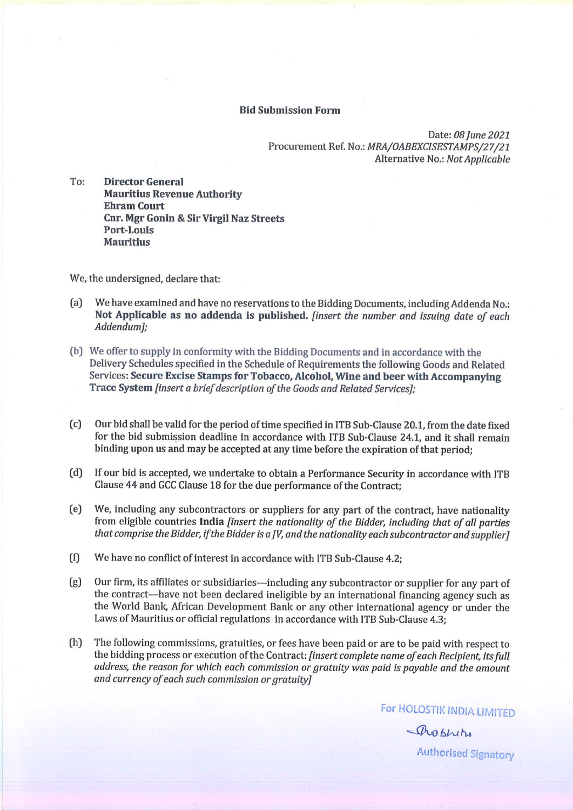#### **Bid Submission Form**

Date: 08 June 2021 Procurement Ref. No.: MRA/OABEXCISESTAMPS/27/21 Alternative No.: Not Applicable

To: **Director General Mauritius Revenue Authority Ehram Court Cnr. Mgr Gonin & Sir Virgil Naz Streets Port-Louis Mauritius** 

We, the undersigned, declare that:

- $(a)$ We have examined and have no reservations to the Bidding Documents, including Addenda No.: Not Applicable as no addenda is published. *[insert the number and issuing date of each* Addendum];
- (b) We offer to supply in conformity with the Bidding Documents and in accordance with the Delivery Schedules specified in the Schedule of Requirements the following Goods and Related Services: Secure Excise Stamps for Tobacco, Alcohol, Wine and beer with Accompanying Trace System [insert a brief description of the Goods and Related Services];
- $(c)$ Our bid shall be valid for the period of time specified in ITB Sub-Clause 20.1, from the date fixed for the bid submission deadline in accordance with ITB Sub-Clause 24.1, and it shall remain binding upon us and may be accepted at any time before the expiration of that period;
- $(d)$ If our bid is accepted, we undertake to obtain a Performance Security in accordance with ITB Clause 44 and GCC Clause 18 for the due performance of the Contract;
- $(e)$ We, including any subcontractors or suppliers for any part of the contract, have nationality from eligible countries India [insert the nationality of the Bidder, including that of all parties that comprise the Bidder, if the Bidder is a JV, and the nationality each subcontractor and supplier]
- We have no conflict of interest in accordance with ITB Sub-Clause 4.2;  $(f)$
- Our firm, its affiliates or subsidiaries-including any subcontractor or supplier for any part of  $(g)$ the contract-have not been declared ineligible by an international financing agency such as the World Bank, African Development Bank or any other international agency or under the Laws of Mauritius or official regulations in accordance with ITB Sub-Clause 4.3;
- The following commissions, gratuities, or fees have been paid or are to be paid with respect to  $(h)$ the bidding process or execution of the Contract: [insert complete name of each Recipient, its full address, the reason for which each commission or gratuity was paid is payable and the amount and currency of each such commission or gratuity]

For HOLOSTIK INDIA LIMITED

Problem **Authorised Signatory**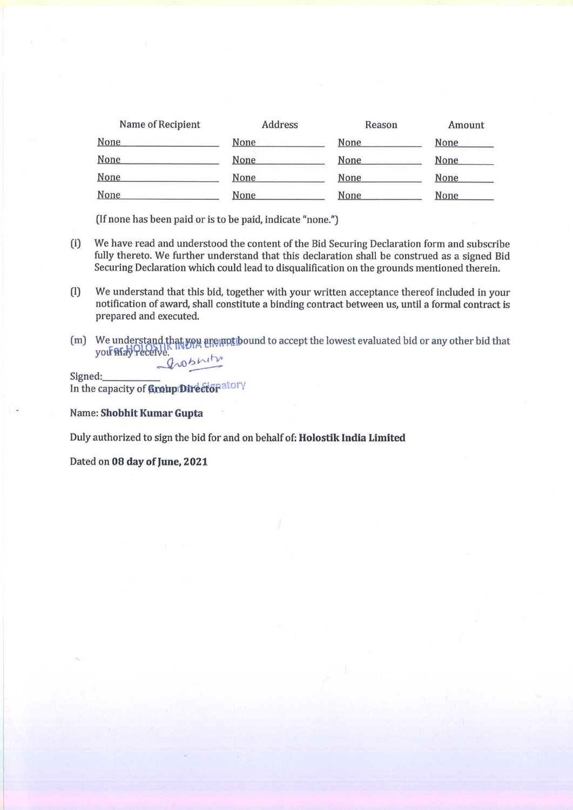| Name of Recipient | <b>Address</b> | Reason      | Amount      |
|-------------------|----------------|-------------|-------------|
| None              | None           | <b>None</b> | None        |
| None              | None           | None        | <b>None</b> |
| None              | None           | None        | None        |
| None              | None           | None        | None        |

(If none has been paid or is to be paid, indicate "none.")

- $(i)$ We have read and understood the content of the Bid Securing Declaration form and subscribe fully thereto. We further understand that this declaration shall be construed as a signed Bid Securing Declaration which could lead to disqualification on the grounds mentioned therein.
- $(1)$ We understand that this bid, together with your written acceptance thereof included in your notification of award, shall constitute a binding contract between us, until a formal contract is prepared and executed.
- (m) We understand that you are mot bound to accept the lowest evaluated bid or any other bid that you what you what grosniti

Signed: In the capacity of Group Director atory

Name: Shobhit Kumar Gupta

Duly authorized to sign the bid for and on behalf of: Holostik India Limited

Dated on 08 day of June, 2021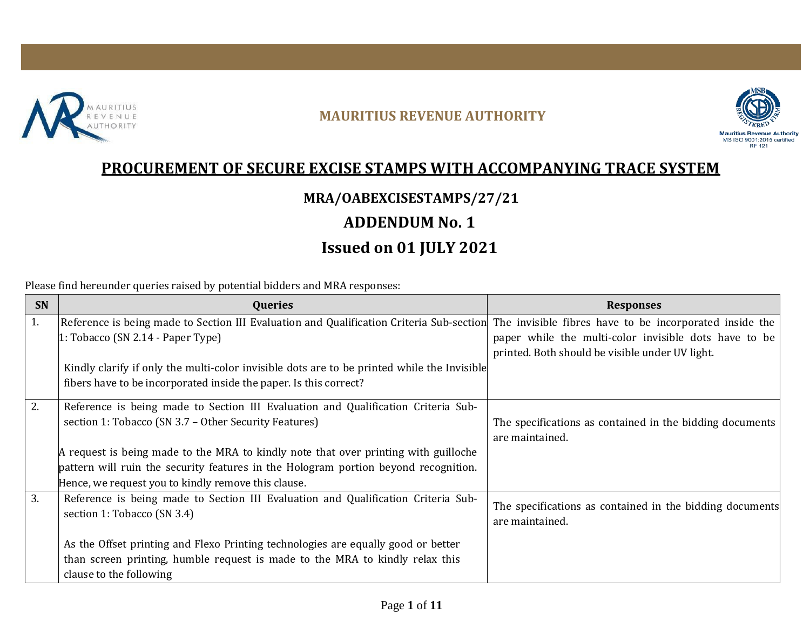

#### **MAURITIUS REVENUE AUTHORITY**



# **PROCUREMENT OF SECURE EXCISE STAMPS WITH ACCOMPANYING TRACE SYSTEM**

## **MRA/OABEXCISESTAMPS/27/21**

# **ADDENDUM No. 1**

# **Issued on 01 JULY 2021**

Please find hereunder queries raised by potential bidders and MRA responses:

| <b>SN</b> | <b>Queries</b>                                                                                                                                   | <b>Responses</b>                                         |
|-----------|--------------------------------------------------------------------------------------------------------------------------------------------------|----------------------------------------------------------|
| 1.        | Reference is being made to Section III Evaluation and Qualification Criteria Sub-section The invisible fibres have to be incorporated inside the |                                                          |
|           | $1:$ Tobacco (SN 2.14 - Paper Type)                                                                                                              | paper while the multi-color invisible dots have to be    |
|           |                                                                                                                                                  | printed. Both should be visible under UV light.          |
|           | Kindly clarify if only the multi-color invisible dots are to be printed while the Invisible                                                      |                                                          |
|           | fibers have to be incorporated inside the paper. Is this correct?                                                                                |                                                          |
| 2.        | Reference is being made to Section III Evaluation and Qualification Criteria Sub-                                                                |                                                          |
|           | section 1: Tobacco (SN 3.7 – Other Security Features)                                                                                            | The specifications as contained in the bidding documents |
|           |                                                                                                                                                  | are maintained.                                          |
|           | A request is being made to the MRA to kindly note that over printing with guilloche                                                              |                                                          |
|           | pattern will ruin the security features in the Hologram portion beyond recognition.                                                              |                                                          |
|           | Hence, we request you to kindly remove this clause.                                                                                              |                                                          |
| 3.        | Reference is being made to Section III Evaluation and Qualification Criteria Sub-                                                                | The specifications as contained in the bidding documents |
|           | section 1: Tobacco (SN 3.4)                                                                                                                      | are maintained.                                          |
|           | As the Offset printing and Flexo Printing technologies are equally good or better                                                                |                                                          |
|           | than screen printing, humble request is made to the MRA to kindly relax this                                                                     |                                                          |
|           | clause to the following                                                                                                                          |                                                          |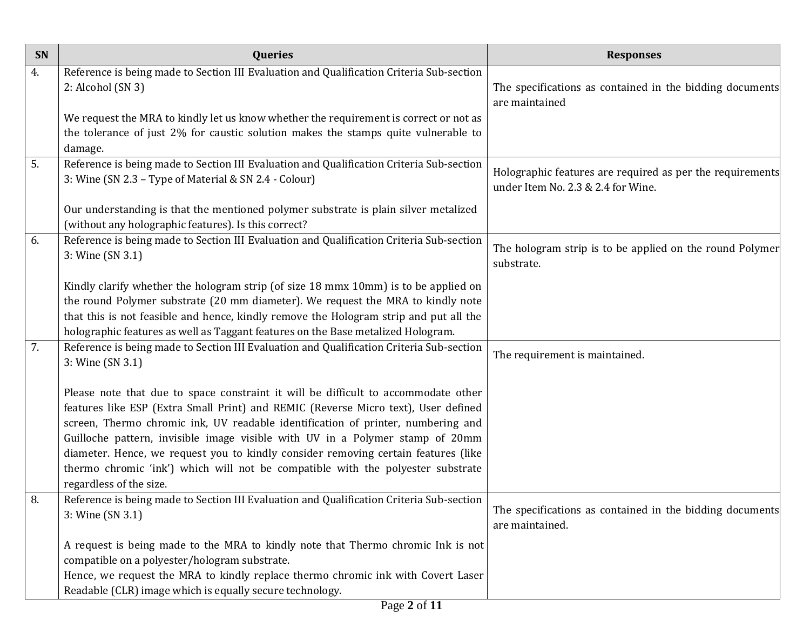| SN | <b>Queries</b>                                                                                                                                                                                                                                                                                                                                                                                                                                                                                                                                    | <b>Responses</b>                                                                                |
|----|---------------------------------------------------------------------------------------------------------------------------------------------------------------------------------------------------------------------------------------------------------------------------------------------------------------------------------------------------------------------------------------------------------------------------------------------------------------------------------------------------------------------------------------------------|-------------------------------------------------------------------------------------------------|
| 4. | Reference is being made to Section III Evaluation and Qualification Criteria Sub-section<br>2: Alcohol (SN 3)<br>We request the MRA to kindly let us know whether the requirement is correct or not as                                                                                                                                                                                                                                                                                                                                            | The specifications as contained in the bidding documents<br>are maintained                      |
|    | the tolerance of just 2% for caustic solution makes the stamps quite vulnerable to<br>damage.                                                                                                                                                                                                                                                                                                                                                                                                                                                     |                                                                                                 |
| 5. | Reference is being made to Section III Evaluation and Qualification Criteria Sub-section<br>3: Wine (SN 2.3 - Type of Material & SN 2.4 - Colour)                                                                                                                                                                                                                                                                                                                                                                                                 | Holographic features are required as per the requirements<br>under Item No. 2.3 & 2.4 for Wine. |
|    | Our understanding is that the mentioned polymer substrate is plain silver metalized<br>(without any holographic features). Is this correct?                                                                                                                                                                                                                                                                                                                                                                                                       |                                                                                                 |
| 6. | Reference is being made to Section III Evaluation and Qualification Criteria Sub-section<br>3: Wine (SN 3.1)                                                                                                                                                                                                                                                                                                                                                                                                                                      | The hologram strip is to be applied on the round Polymer<br>substrate.                          |
|    | Kindly clarify whether the hologram strip (of size 18 mmx 10mm) is to be applied on<br>the round Polymer substrate (20 mm diameter). We request the MRA to kindly note<br>that this is not feasible and hence, kindly remove the Hologram strip and put all the<br>holographic features as well as Taggant features on the Base metalized Hologram.                                                                                                                                                                                               |                                                                                                 |
| 7. | Reference is being made to Section III Evaluation and Qualification Criteria Sub-section<br>3: Wine (SN 3.1)                                                                                                                                                                                                                                                                                                                                                                                                                                      | The requirement is maintained.                                                                  |
|    | Please note that due to space constraint it will be difficult to accommodate other<br>features like ESP (Extra Small Print) and REMIC (Reverse Micro text), User defined<br>screen, Thermo chromic ink, UV readable identification of printer, numbering and<br>Guilloche pattern, invisible image visible with UV in a Polymer stamp of 20mm<br>diameter. Hence, we request you to kindly consider removing certain features (like<br>thermo chromic 'ink') which will not be compatible with the polyester substrate<br>regardless of the size. |                                                                                                 |
| 8. | Reference is being made to Section III Evaluation and Qualification Criteria Sub-section<br>3: Wine (SN 3.1)                                                                                                                                                                                                                                                                                                                                                                                                                                      | The specifications as contained in the bidding documents<br>are maintained.                     |
|    | A request is being made to the MRA to kindly note that Thermo chromic Ink is not<br>compatible on a polyester/hologram substrate.<br>Hence, we request the MRA to kindly replace thermo chromic ink with Covert Laser                                                                                                                                                                                                                                                                                                                             |                                                                                                 |
|    | Readable (CLR) image which is equally secure technology.                                                                                                                                                                                                                                                                                                                                                                                                                                                                                          |                                                                                                 |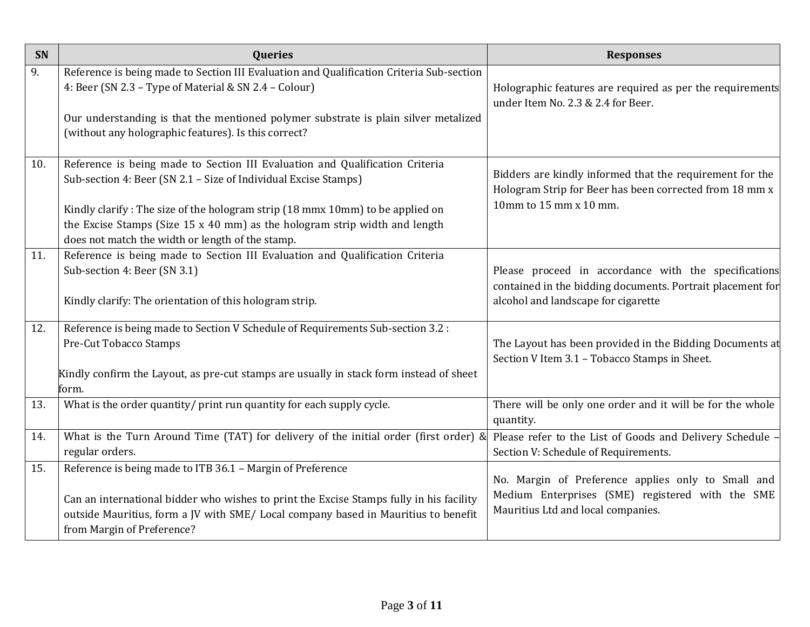| SN  | <b>Queries</b>                                                                                                                                                                                                  | <b>Responses</b>                                                                                                    |
|-----|-----------------------------------------------------------------------------------------------------------------------------------------------------------------------------------------------------------------|---------------------------------------------------------------------------------------------------------------------|
| 9.  | Reference is being made to Section III Evaluation and Qualification Criteria Sub-section<br>4: Beer (SN 2.3 - Type of Material & SN 2.4 - Colour)                                                               | Holographic features are required as per the requirements<br>under Item No. 2.3 & 2.4 for Beer.                     |
|     | Our understanding is that the mentioned polymer substrate is plain silver metalized<br>(without any holographic features). Is this correct?                                                                     |                                                                                                                     |
| 10. | Reference is being made to Section III Evaluation and Qualification Criteria<br>Sub-section 4: Beer (SN 2.1 - Size of Individual Excise Stamps)                                                                 | Bidders are kindly informed that the requirement for the<br>Hologram Strip for Beer has been corrected from 18 mm x |
|     | Kindly clarify: The size of the hologram strip (18 mmx 10mm) to be applied on<br>the Excise Stamps (Size 15 x 40 mm) as the hologram strip width and length<br>does not match the width or length of the stamp. | 10mm to 15 mm x 10 mm.                                                                                              |
| 11. | Reference is being made to Section III Evaluation and Qualification Criteria<br>Sub-section 4: Beer (SN 3.1)                                                                                                    | Please proceed in accordance with the specifications<br>contained in the bidding documents. Portrait placement for  |
|     | Kindly clarify: The orientation of this hologram strip.                                                                                                                                                         | alcohol and landscape for cigarette                                                                                 |
| 12. | Reference is being made to Section V Schedule of Requirements Sub-section 3.2 :<br>Pre-Cut Tobacco Stamps                                                                                                       | The Layout has been provided in the Bidding Documents at<br>Section V Item 3.1 - Tobacco Stamps in Sheet.           |
|     | Kindly confirm the Layout, as pre-cut stamps are usually in stack form instead of sheet<br>form.                                                                                                                |                                                                                                                     |
| 13. | What is the order quantity/ print run quantity for each supply cycle.                                                                                                                                           | There will be only one order and it will be for the whole<br>quantity.                                              |
| 14. | What is the Turn Around Time (TAT) for delivery of the initial order (first order) &<br>regular orders.                                                                                                         | Please refer to the List of Goods and Delivery Schedule<br>Section V: Schedule of Requirements.                     |
| 15. | Reference is being made to ITB 36.1 - Margin of Preference                                                                                                                                                      | No. Margin of Preference applies only to Small and                                                                  |
|     | Can an international bidder who wishes to print the Excise Stamps fully in his facility<br>outside Mauritius, form a JV with SME/ Local company based in Mauritius to benefit<br>from Margin of Preference?     | Medium Enterprises (SME) registered with the SME<br>Mauritius Ltd and local companies.                              |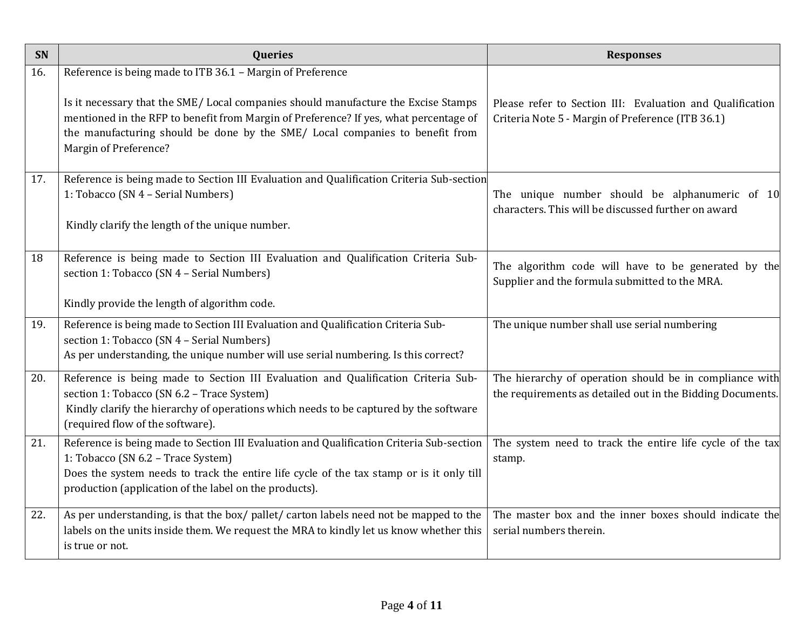| SN  | <b>Queries</b>                                                                                                                                                                                                                                                                                                                                     | <b>Responses</b>                                                                                                      |
|-----|----------------------------------------------------------------------------------------------------------------------------------------------------------------------------------------------------------------------------------------------------------------------------------------------------------------------------------------------------|-----------------------------------------------------------------------------------------------------------------------|
| 16. | Reference is being made to ITB 36.1 - Margin of Preference<br>Is it necessary that the SME/ Local companies should manufacture the Excise Stamps<br>mentioned in the RFP to benefit from Margin of Preference? If yes, what percentage of<br>the manufacturing should be done by the SME/ Local companies to benefit from<br>Margin of Preference? | Please refer to Section III: Evaluation and Qualification<br>Criteria Note 5 - Margin of Preference (ITB 36.1)        |
| 17. | Reference is being made to Section III Evaluation and Qualification Criteria Sub-section<br>1: Tobacco (SN 4 - Serial Numbers)<br>Kindly clarify the length of the unique number.                                                                                                                                                                  | The unique number should be alphanumeric of 10<br>characters. This will be discussed further on award                 |
| 18  | Reference is being made to Section III Evaluation and Qualification Criteria Sub-<br>section 1: Tobacco (SN 4 - Serial Numbers)<br>Kindly provide the length of algorithm code.                                                                                                                                                                    | The algorithm code will have to be generated by the<br>Supplier and the formula submitted to the MRA.                 |
| 19. | Reference is being made to Section III Evaluation and Qualification Criteria Sub-<br>section 1: Tobacco (SN 4 - Serial Numbers)<br>As per understanding, the unique number will use serial numbering. Is this correct?                                                                                                                             | The unique number shall use serial numbering                                                                          |
| 20. | Reference is being made to Section III Evaluation and Qualification Criteria Sub-<br>section 1: Tobacco (SN 6.2 - Trace System)<br>Kindly clarify the hierarchy of operations which needs to be captured by the software<br>(required flow of the software).                                                                                       | The hierarchy of operation should be in compliance with<br>the requirements as detailed out in the Bidding Documents. |
| 21. | Reference is being made to Section III Evaluation and Qualification Criteria Sub-section<br>1: Tobacco (SN 6.2 - Trace System)<br>Does the system needs to track the entire life cycle of the tax stamp or is it only till<br>production (application of the label on the products).                                                               | The system need to track the entire life cycle of the tax<br>stamp.                                                   |
| 22. | As per understanding, is that the box/ pallet/ carton labels need not be mapped to the<br>labels on the units inside them. We request the MRA to kindly let us know whether this<br>is true or not.                                                                                                                                                | The master box and the inner boxes should indicate the<br>serial numbers therein.                                     |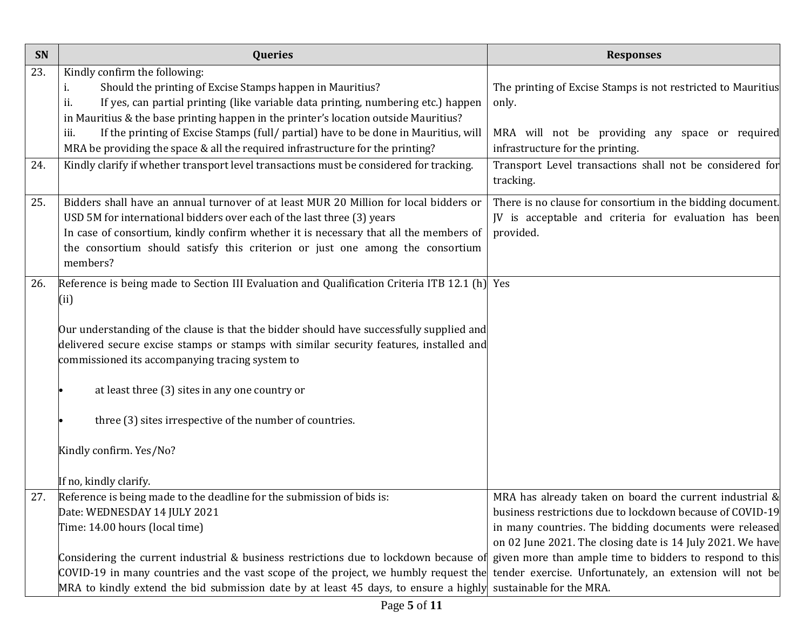| SN  | Queries                                                                                       | <b>Responses</b>                                             |
|-----|-----------------------------------------------------------------------------------------------|--------------------------------------------------------------|
| 23. | Kindly confirm the following:                                                                 |                                                              |
|     | Should the printing of Excise Stamps happen in Mauritius?<br>i.                               | The printing of Excise Stamps is not restricted to Mauritius |
|     | If yes, can partial printing (like variable data printing, numbering etc.) happen<br>ii.      | only.                                                        |
|     | in Mauritius & the base printing happen in the printer's location outside Mauritius?          |                                                              |
|     | If the printing of Excise Stamps (full/ partial) have to be done in Mauritius, will<br>iii.   | MRA will not be providing any space or required              |
|     | MRA be providing the space & all the required infrastructure for the printing?                | infrastructure for the printing.                             |
| 24. | Kindly clarify if whether transport level transactions must be considered for tracking.       | Transport Level transactions shall not be considered for     |
|     |                                                                                               | tracking.                                                    |
| 25. | Bidders shall have an annual turnover of at least MUR 20 Million for local bidders or         | There is no clause for consortium in the bidding document.   |
|     | USD 5M for international bidders over each of the last three (3) years                        | JV is acceptable and criteria for evaluation has been        |
|     | In case of consortium, kindly confirm whether it is necessary that all the members of         | provided.                                                    |
|     | the consortium should satisfy this criterion or just one among the consortium                 |                                                              |
|     | members?                                                                                      |                                                              |
| 26. | Reference is being made to Section III Evaluation and Qualification Criteria ITB 12.1 (h) Yes |                                                              |
|     | (i)                                                                                           |                                                              |
|     |                                                                                               |                                                              |
|     | Our understanding of the clause is that the bidder should have successfully supplied and      |                                                              |
|     | delivered secure excise stamps or stamps with similar security features, installed and        |                                                              |
|     | commissioned its accompanying tracing system to                                               |                                                              |
|     |                                                                                               |                                                              |
|     | at least three (3) sites in any one country or                                                |                                                              |
|     |                                                                                               |                                                              |
|     | three (3) sites irrespective of the number of countries.                                      |                                                              |
|     | Kindly confirm. Yes/No?                                                                       |                                                              |
|     |                                                                                               |                                                              |
|     | If no, kindly clarify.                                                                        |                                                              |
| 27. | Reference is being made to the deadline for the submission of bids is:                        | MRA has already taken on board the current industrial &      |
|     | Date: WEDNESDAY 14 JULY 2021                                                                  | business restrictions due to lockdown because of COVID-19    |
|     | Time: 14.00 hours (local time)                                                                | in many countries. The bidding documents were released       |
|     |                                                                                               | on 02 June 2021. The closing date is 14 July 2021. We have   |
|     | Considering the current industrial & business restrictions due to lockdown because of         | given more than ample time to bidders to respond to this     |
|     | $COVID-19$ in many countries and the vast scope of the project, we humbly request the         | tender exercise. Unfortunately, an extension will not be     |
|     | MRA to kindly extend the bid submission date by at least 45 days, to ensure a highly          | sustainable for the MRA.                                     |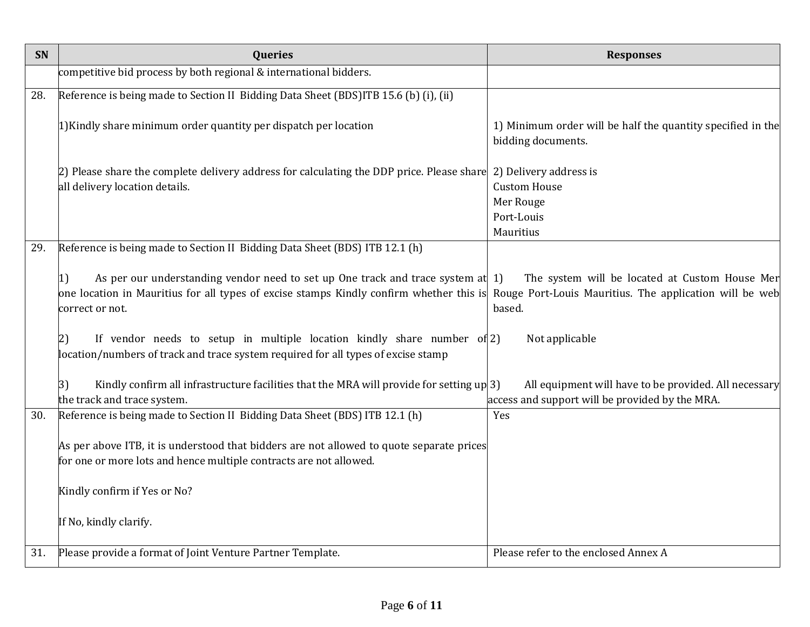| SN  | Queries                                                                                                                                                                                                                                                                                                                                                                                  | <b>Responses</b>                                                                                                                      |
|-----|------------------------------------------------------------------------------------------------------------------------------------------------------------------------------------------------------------------------------------------------------------------------------------------------------------------------------------------------------------------------------------------|---------------------------------------------------------------------------------------------------------------------------------------|
|     | competitive bid process by both regional & international bidders.                                                                                                                                                                                                                                                                                                                        |                                                                                                                                       |
| 28. | Reference is being made to Section II Bidding Data Sheet (BDS)ITB 15.6 (b) (i), (ii)                                                                                                                                                                                                                                                                                                     |                                                                                                                                       |
|     | 1) Kindly share minimum order quantity per dispatch per location                                                                                                                                                                                                                                                                                                                         | 1) Minimum order will be half the quantity specified in the<br>bidding documents.                                                     |
|     | [2] Please share the complete delivery address for calculating the DDP price. Please share<br>all delivery location details.                                                                                                                                                                                                                                                             | 2) Delivery address is<br><b>Custom House</b><br>Mer Rouge<br>Port-Louis<br>Mauritius                                                 |
| 29. | Reference is being made to Section II Bidding Data Sheet (BDS) ITB 12.1 (h)                                                                                                                                                                                                                                                                                                              |                                                                                                                                       |
|     | As per our understanding vendor need to set up One track and trace system at 1)<br> 1)<br>one location in Mauritius for all types of excise stamps Kindly confirm whether this is<br>correct or not.<br>If vendor needs to setup in multiple location kindly share number of 2)<br>$\left 2\right)$<br>location/numbers of track and trace system required for all types of excise stamp | The system will be located at Custom House Mer<br>Rouge Port-Louis Mauritius. The application will be web<br>based.<br>Not applicable |
|     | Kindly confirm all infrastructure facilities that the MRA will provide for setting $up(3)$<br> 3)<br>the track and trace system.                                                                                                                                                                                                                                                         | All equipment will have to be provided. All necessary<br>access and support will be provided by the MRA.                              |
| 30. | Reference is being made to Section II Bidding Data Sheet (BDS) ITB 12.1 (h)<br>As per above ITB, it is understood that bidders are not allowed to quote separate prices<br>for one or more lots and hence multiple contracts are not allowed.<br>Kindly confirm if Yes or No?<br>If No, kindly clarify.                                                                                  | Yes                                                                                                                                   |
| 31. | Please provide a format of Joint Venture Partner Template.                                                                                                                                                                                                                                                                                                                               | Please refer to the enclosed Annex A                                                                                                  |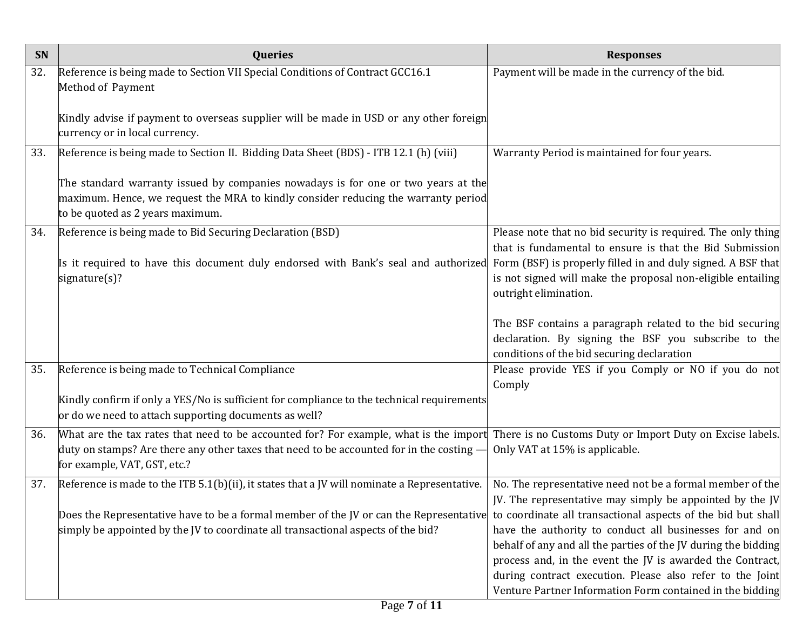| SN  | <b>Queries</b>                                                                                                                                                                                              | <b>Responses</b>                                                                                                                                               |
|-----|-------------------------------------------------------------------------------------------------------------------------------------------------------------------------------------------------------------|----------------------------------------------------------------------------------------------------------------------------------------------------------------|
| 32. | Reference is being made to Section VII Special Conditions of Contract GCC16.1<br>Method of Payment                                                                                                          | Payment will be made in the currency of the bid.                                                                                                               |
|     | Kindly advise if payment to overseas supplier will be made in USD or any other foreign<br>currency or in local currency.                                                                                    |                                                                                                                                                                |
| 33. | Reference is being made to Section II. Bidding Data Sheet (BDS) - ITB 12.1 (h) (viii)                                                                                                                       | Warranty Period is maintained for four years.                                                                                                                  |
|     | The standard warranty issued by companies nowadays is for one or two years at the<br>maximum. Hence, we request the MRA to kindly consider reducing the warranty period<br>to be quoted as 2 years maximum. |                                                                                                                                                                |
| 34. | Reference is being made to Bid Securing Declaration (BSD)                                                                                                                                                   | Please note that no bid security is required. The only thing<br>that is fundamental to ensure is that the Bid Submission                                       |
|     | Is it required to have this document duly endorsed with Bank's seal and authorized<br>signature(s)?                                                                                                         | Form (BSF) is properly filled in and duly signed. A BSF that<br>is not signed will make the proposal non-eligible entailing<br>outright elimination.           |
|     |                                                                                                                                                                                                             | The BSF contains a paragraph related to the bid securing<br>declaration. By signing the BSF you subscribe to the<br>conditions of the bid securing declaration |
| 35. | Reference is being made to Technical Compliance                                                                                                                                                             | Please provide YES if you Comply or NO if you do not<br>Comply                                                                                                 |
|     | Kindly confirm if only a YES/No is sufficient for compliance to the technical requirements<br>or do we need to attach supporting documents as well?                                                         |                                                                                                                                                                |
| 36. | What are the tax rates that need to be accounted for? For example, what is the import There is no Customs Duty or Import Duty on Excise labels.                                                             |                                                                                                                                                                |
|     | duty on stamps? Are there any other taxes that need to be accounted for in the costing -<br>for example, VAT, GST, etc.?                                                                                    | Only VAT at 15% is applicable.                                                                                                                                 |
| 37. | Reference is made to the ITB $5.1(b)$ (ii), it states that a JV will nominate a Representative.                                                                                                             | No. The representative need not be a formal member of the                                                                                                      |
|     | Does the Representative have to be a formal member of the JV or can the Representative                                                                                                                      | JV. The representative may simply be appointed by the JV<br>to coordinate all transactional aspects of the bid but shall                                       |
|     | simply be appointed by the JV to coordinate all transactional aspects of the bid?                                                                                                                           | have the authority to conduct all businesses for and on                                                                                                        |
|     |                                                                                                                                                                                                             | behalf of any and all the parties of the JV during the bidding                                                                                                 |
|     |                                                                                                                                                                                                             | process and, in the event the JV is awarded the Contract,                                                                                                      |
|     |                                                                                                                                                                                                             | during contract execution. Please also refer to the Joint                                                                                                      |
|     |                                                                                                                                                                                                             | Venture Partner Information Form contained in the bidding                                                                                                      |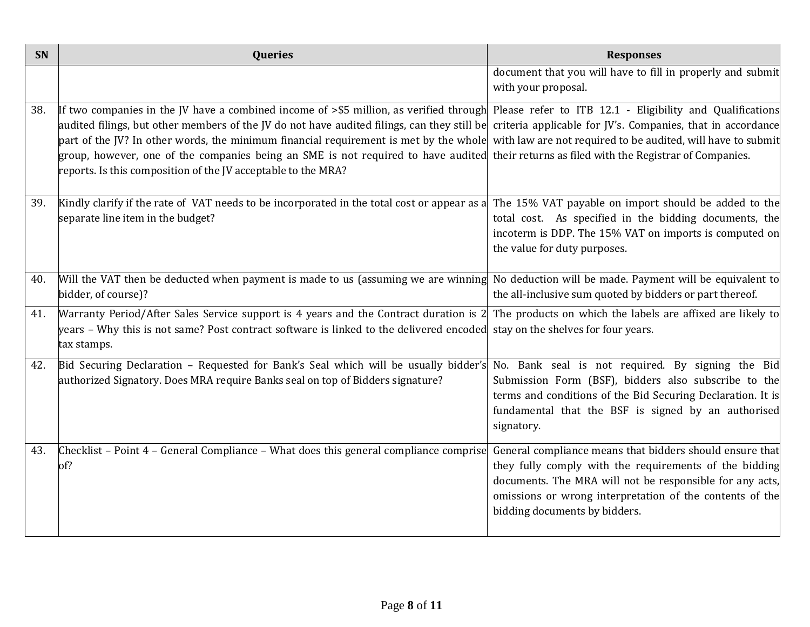| <b>SN</b> | Queries                                                                                                                                                                                                                                                                                                                                                                                                                                   | <b>Responses</b>                                                                                                                                                                                                                                                            |
|-----------|-------------------------------------------------------------------------------------------------------------------------------------------------------------------------------------------------------------------------------------------------------------------------------------------------------------------------------------------------------------------------------------------------------------------------------------------|-----------------------------------------------------------------------------------------------------------------------------------------------------------------------------------------------------------------------------------------------------------------------------|
|           |                                                                                                                                                                                                                                                                                                                                                                                                                                           | document that you will have to fill in properly and submit<br>with your proposal.                                                                                                                                                                                           |
| 38.       | If two companies in the JV have a combined income of $\geq$ 55 million, as verified through<br>audited filings, but other members of the JV do not have audited filings, can they still be<br>part of the JV? In other words, the minimum financial requirement is met by the whole<br>group, however, one of the companies being an SME is not required to have audited<br>reports. Is this composition of the JV acceptable to the MRA? | Please refer to ITB 12.1 - Eligibility and Qualifications<br>criteria applicable for JV's. Companies, that in accordance<br>with law are not required to be audited, will have to submit<br>their returns as filed with the Registrar of Companies.                         |
| 39.       | Kindly clarify if the rate of VAT needs to be incorporated in the total cost or appear as a<br>separate line item in the budget?                                                                                                                                                                                                                                                                                                          | The 15% VAT payable on import should be added to the<br>total cost. As specified in the bidding documents, the<br>incoterm is DDP. The 15% VAT on imports is computed on<br>the value for duty purposes.                                                                    |
| 40.       | Will the VAT then be deducted when payment is made to us (assuming we are winning<br>bidder, of course)?                                                                                                                                                                                                                                                                                                                                  | No deduction will be made. Payment will be equivalent to<br>the all-inclusive sum quoted by bidders or part thereof.                                                                                                                                                        |
| 41.       | Warranty Period/After Sales Service support is 4 years and the Contract duration is 2<br>years - Why this is not same? Post contract software is linked to the delivered encoded<br>tax stamps.                                                                                                                                                                                                                                           | The products on which the labels are affixed are likely to<br>stay on the shelves for four years.                                                                                                                                                                           |
| 42.       | Bid Securing Declaration - Requested for Bank's Seal which will be usually bidder's<br>authorized Signatory. Does MRA require Banks seal on top of Bidders signature?                                                                                                                                                                                                                                                                     | No. Bank seal is not required. By signing the Bid<br>Submission Form (BSF), bidders also subscribe to the<br>terms and conditions of the Bid Securing Declaration. It is<br>fundamental that the BSF is signed by an authorised<br>signatory.                               |
| 43.       | Checklist – Point 4 – General Compliance – What does this general compliance comprise<br>of?                                                                                                                                                                                                                                                                                                                                              | General compliance means that bidders should ensure that<br>they fully comply with the requirements of the bidding<br>documents. The MRA will not be responsible for any acts,<br>omissions or wrong interpretation of the contents of the<br>bidding documents by bidders. |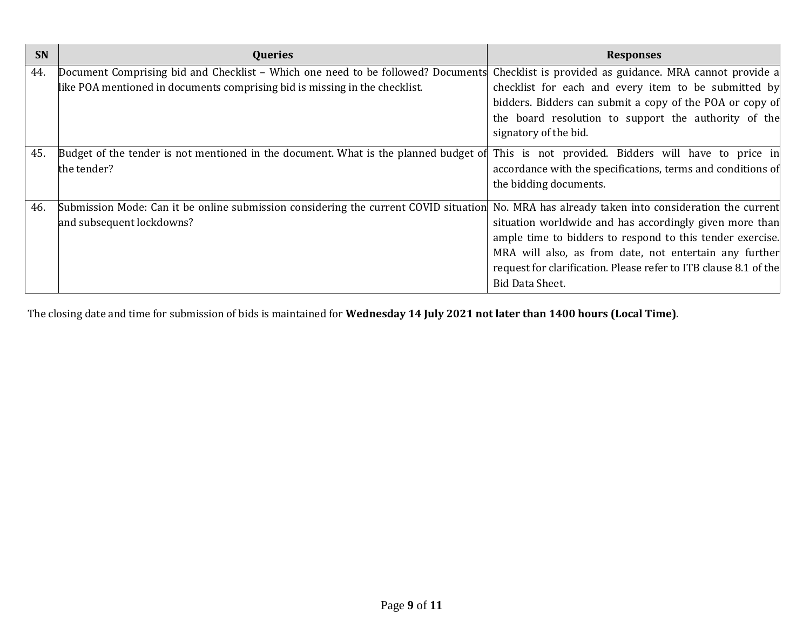| SN  | <b>Queries</b>                                                                       | <b>Responses</b>                                                              |
|-----|--------------------------------------------------------------------------------------|-------------------------------------------------------------------------------|
| 44. | Document Comprising bid and Checklist – Which one need to be followed? Documents     | Checklist is provided as guidance. MRA cannot provide a                       |
|     | like POA mentioned in documents comprising bid is missing in the checklist.          | checklist for each and every item to be submitted by                          |
|     |                                                                                      | bidders. Bidders can submit a copy of the POA or copy of                      |
|     |                                                                                      | the board resolution to support the authority of the<br>signatory of the bid. |
| 45. | Budget of the tender is not mentioned in the document. What is the planned budget of | This is not provided. Bidders will have to price in                           |
|     | the tender?                                                                          | accordance with the specifications, terms and conditions of                   |
|     |                                                                                      | the bidding documents.                                                        |
| 46. | Submission Mode: Can it be online submission considering the current COVID situation | No. MRA has already taken into consideration the current                      |
|     | and subsequent lockdowns?                                                            | situation worldwide and has accordingly given more than                       |
|     |                                                                                      | ample time to bidders to respond to this tender exercise.                     |
|     |                                                                                      | MRA will also, as from date, not entertain any further                        |
|     |                                                                                      | request for clarification. Please refer to ITB clause 8.1 of the              |
|     |                                                                                      | <b>Bid Data Sheet.</b>                                                        |

The closing date and time for submission of bids is maintained for **Wednesday 14 July 2021 not later than 1400 hours (Local Time)**.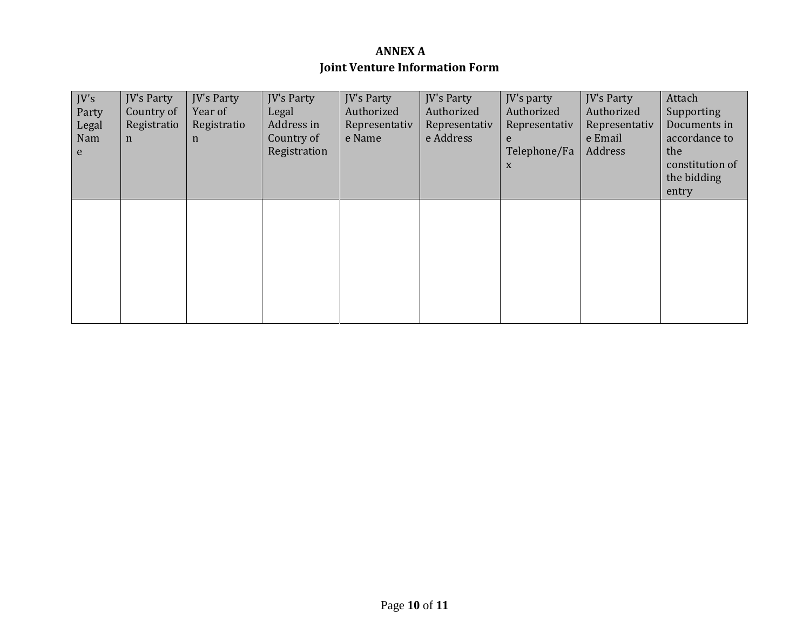### **ANNEX A Joint Venture Information Form**

| IV's<br>Party<br>Legal<br>Nam<br>e | <b>JV's Party</b><br>Country of<br>Registratio<br>$\mathbf n$ | <b>IV's Party</b><br>Year of<br>Registratio<br>$\mathbf n$ | <b>JV's Party</b><br>Legal<br>Address in<br>Country of<br>Registration | <b>IV's Party</b><br>Authorized<br>Representativ<br>e Name | <b>JV's Party</b><br>Authorized<br>Representativ<br>e Address | JV's party<br>Authorized<br>Representativ<br>e<br>Telephone/Fa<br>X | <b>IV's Party</b><br>Authorized<br>Representativ<br>e Email<br>Address | Attach<br>Supporting<br>Documents in<br>accordance to<br>the<br>constitution of<br>the bidding<br>entry |
|------------------------------------|---------------------------------------------------------------|------------------------------------------------------------|------------------------------------------------------------------------|------------------------------------------------------------|---------------------------------------------------------------|---------------------------------------------------------------------|------------------------------------------------------------------------|---------------------------------------------------------------------------------------------------------|
|                                    |                                                               |                                                            |                                                                        |                                                            |                                                               |                                                                     |                                                                        |                                                                                                         |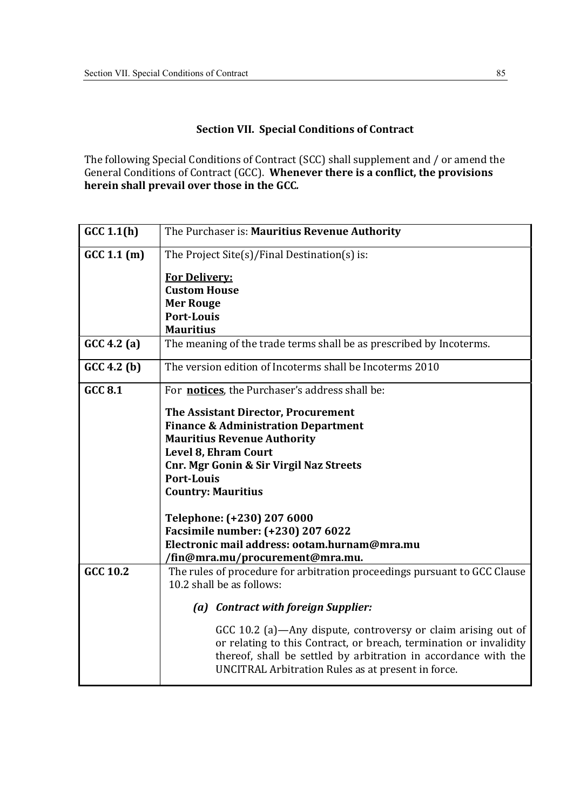#### Section VII. Special Conditions of Contract

The following Special Conditions of Contract (SCC) shall supplement and / or amend the General Conditions of Contract (GCC). Whenever there is a conflict, the provisions herein shall prevail over those in the GCC.

| GCC 1.1(h)      | The Purchaser is: Mauritius Revenue Authority                                                                                                                                                                                                                |
|-----------------|--------------------------------------------------------------------------------------------------------------------------------------------------------------------------------------------------------------------------------------------------------------|
| GCC 1.1(m)      | The Project Site(s)/Final Destination(s) is:                                                                                                                                                                                                                 |
|                 | <b>For Delivery:</b>                                                                                                                                                                                                                                         |
|                 | <b>Custom House</b>                                                                                                                                                                                                                                          |
|                 | <b>Mer Rouge</b>                                                                                                                                                                                                                                             |
|                 | <b>Port-Louis</b>                                                                                                                                                                                                                                            |
|                 | <b>Mauritius</b>                                                                                                                                                                                                                                             |
| GCC 4.2(a)      | The meaning of the trade terms shall be as prescribed by Incoterms.                                                                                                                                                                                          |
| GCC 4.2(b)      | The version edition of Incoterms shall be Incoterms 2010                                                                                                                                                                                                     |
| <b>GCC 8.1</b>  | For notices, the Purchaser's address shall be:                                                                                                                                                                                                               |
|                 | The Assistant Director, Procurement                                                                                                                                                                                                                          |
|                 | <b>Finance &amp; Administration Department</b>                                                                                                                                                                                                               |
|                 | <b>Mauritius Revenue Authority</b>                                                                                                                                                                                                                           |
|                 | Level 8, Ehram Court                                                                                                                                                                                                                                         |
|                 | <b>Cnr. Mgr Gonin &amp; Sir Virgil Naz Streets</b>                                                                                                                                                                                                           |
|                 | <b>Port-Louis</b>                                                                                                                                                                                                                                            |
|                 | <b>Country: Mauritius</b>                                                                                                                                                                                                                                    |
|                 | Telephone: (+230) 207 6000                                                                                                                                                                                                                                   |
|                 | Facsimile number: (+230) 207 6022                                                                                                                                                                                                                            |
|                 | Electronic mail address: ootam.hurnam@mra.mu                                                                                                                                                                                                                 |
|                 | /fin@mra.mu/procurement@mra.mu.                                                                                                                                                                                                                              |
| <b>GCC 10.2</b> | The rules of procedure for arbitration proceedings pursuant to GCC Clause                                                                                                                                                                                    |
|                 | 10.2 shall be as follows:                                                                                                                                                                                                                                    |
|                 | (a) Contract with foreign Supplier:                                                                                                                                                                                                                          |
|                 | GCC 10.2 (a)—Any dispute, controversy or claim arising out of<br>or relating to this Contract, or breach, termination or invalidity<br>thereof, shall be settled by arbitration in accordance with the<br>UNCITRAL Arbitration Rules as at present in force. |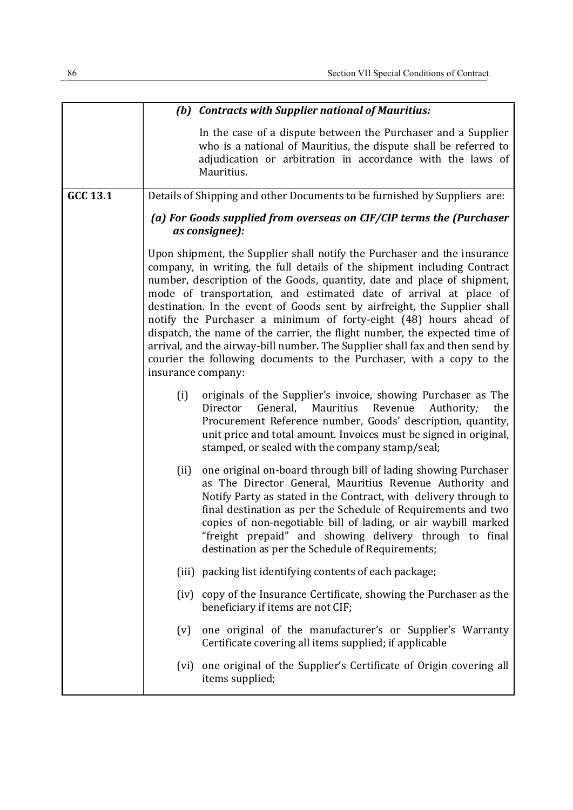|          |                    | (b) Contracts with Supplier national of Mauritius:                                                                                                                                                                                                                                                                                                                                                                                                                                                                                                                                                                                                                                           |
|----------|--------------------|----------------------------------------------------------------------------------------------------------------------------------------------------------------------------------------------------------------------------------------------------------------------------------------------------------------------------------------------------------------------------------------------------------------------------------------------------------------------------------------------------------------------------------------------------------------------------------------------------------------------------------------------------------------------------------------------|
|          |                    | In the case of a dispute between the Purchaser and a Supplier<br>who is a national of Mauritius, the dispute shall be referred to<br>adjudication or arbitration in accordance with the laws of<br>Mauritius.                                                                                                                                                                                                                                                                                                                                                                                                                                                                                |
| GCC 13.1 |                    | Details of Shipping and other Documents to be furnished by Suppliers are:                                                                                                                                                                                                                                                                                                                                                                                                                                                                                                                                                                                                                    |
|          |                    | (a) For Goods supplied from overseas on CIF/CIP terms the (Purchaser<br>as consignee):                                                                                                                                                                                                                                                                                                                                                                                                                                                                                                                                                                                                       |
|          | insurance company: | Upon shipment, the Supplier shall notify the Purchaser and the insurance<br>company, in writing, the full details of the shipment including Contract<br>number, description of the Goods, quantity, date and place of shipment,<br>mode of transportation, and estimated date of arrival at place of<br>destination. In the event of Goods sent by airfreight, the Supplier shall<br>notify the Purchaser a minimum of forty-eight (48) hours ahead of<br>dispatch, the name of the carrier, the flight number, the expected time of<br>arrival, and the airway-bill number. The Supplier shall fax and then send by<br>courier the following documents to the Purchaser, with a copy to the |
|          | (i)                | originals of the Supplier's invoice, showing Purchaser as The<br>General,<br>Mauritius<br>Revenue<br>Authority;<br>the<br>Director<br>Procurement Reference number, Goods' description, quantity,<br>unit price and total amount. Invoices must be signed in original,<br>stamped, or sealed with the company stamp/seal;                                                                                                                                                                                                                                                                                                                                                                    |
|          | (ii)               | one original on-board through bill of lading showing Purchaser<br>as The Director General, Mauritius Revenue Authority and<br>Notify Party as stated in the Contract, with delivery through to<br>final destination as per the Schedule of Requirements and two<br>copies of non-negotiable bill of lading, or air waybill marked<br>"freight prepaid" and showing delivery through to final<br>destination as per the Schedule of Requirements;                                                                                                                                                                                                                                             |
|          |                    | (iii) packing list identifying contents of each package;                                                                                                                                                                                                                                                                                                                                                                                                                                                                                                                                                                                                                                     |
|          |                    | (iv) copy of the Insurance Certificate, showing the Purchaser as the<br>beneficiary if items are not CIF;                                                                                                                                                                                                                                                                                                                                                                                                                                                                                                                                                                                    |
|          | (v)                | one original of the manufacturer's or Supplier's Warranty<br>Certificate covering all items supplied; if applicable                                                                                                                                                                                                                                                                                                                                                                                                                                                                                                                                                                          |
|          |                    | (vi) one original of the Supplier's Certificate of Origin covering all<br>items supplied;                                                                                                                                                                                                                                                                                                                                                                                                                                                                                                                                                                                                    |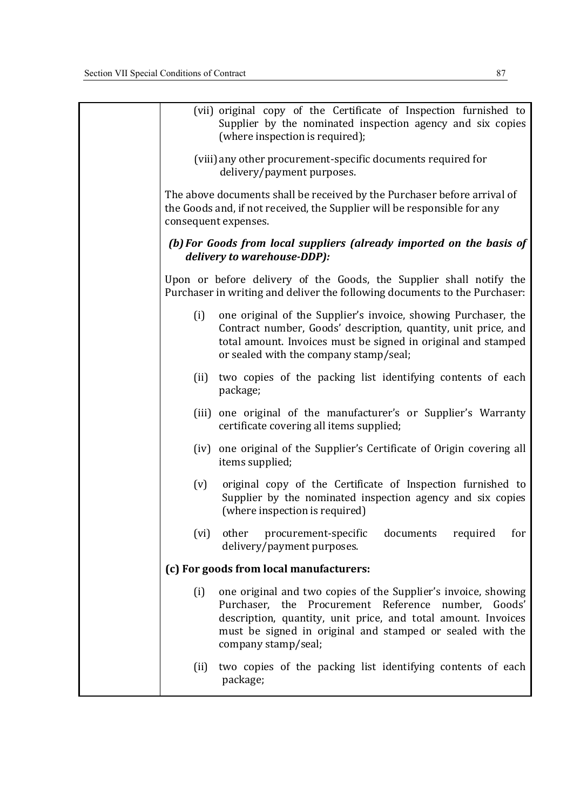| (vii) original copy of the Certificate of Inspection furnished to<br>Supplier by the nominated inspection agency and six copies<br>(where inspection is required);                                                                                                                |
|-----------------------------------------------------------------------------------------------------------------------------------------------------------------------------------------------------------------------------------------------------------------------------------|
| (viii) any other procurement-specific documents required for<br>delivery/payment purposes.                                                                                                                                                                                        |
| The above documents shall be received by the Purchaser before arrival of<br>the Goods and, if not received, the Supplier will be responsible for any<br>consequent expenses.                                                                                                      |
| (b) For Goods from local suppliers (already imported on the basis of<br>delivery to warehouse-DDP):                                                                                                                                                                               |
| Upon or before delivery of the Goods, the Supplier shall notify the<br>Purchaser in writing and deliver the following documents to the Purchaser:                                                                                                                                 |
| (i)<br>one original of the Supplier's invoice, showing Purchaser, the<br>Contract number, Goods' description, quantity, unit price, and<br>total amount. Invoices must be signed in original and stamped<br>or sealed with the company stamp/seal;                                |
| two copies of the packing list identifying contents of each<br>(ii)<br>package;                                                                                                                                                                                                   |
| (iii) one original of the manufacturer's or Supplier's Warranty<br>certificate covering all items supplied;                                                                                                                                                                       |
| (iv) one original of the Supplier's Certificate of Origin covering all<br>items supplied;                                                                                                                                                                                         |
| original copy of the Certificate of Inspection furnished to<br>(v)<br>Supplier by the nominated inspection agency and six copies<br>(where inspection is required)                                                                                                                |
| other<br>procurement-specific<br>documents<br>required<br>for<br>(vi)<br>delivery/payment purposes.                                                                                                                                                                               |
| (c) For goods from local manufacturers:                                                                                                                                                                                                                                           |
| one original and two copies of the Supplier's invoice, showing<br>(i)<br>Purchaser, the Procurement Reference number, Goods'<br>description, quantity, unit price, and total amount. Invoices<br>must be signed in original and stamped or sealed with the<br>company stamp/seal; |
| two copies of the packing list identifying contents of each<br>(ii)<br>package;                                                                                                                                                                                                   |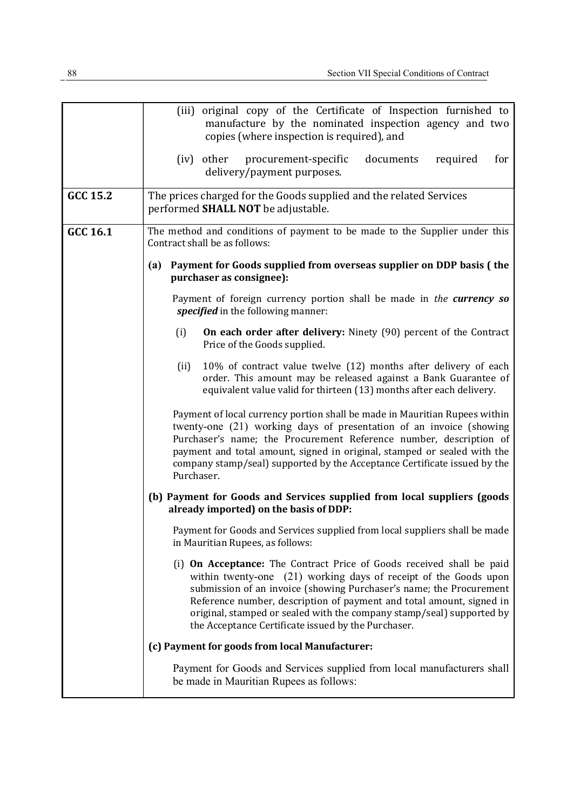|          | (iii) original copy of the Certificate of Inspection furnished to<br>manufacture by the nominated inspection agency and two                                                                                                                                                                                                                                                                                              |
|----------|--------------------------------------------------------------------------------------------------------------------------------------------------------------------------------------------------------------------------------------------------------------------------------------------------------------------------------------------------------------------------------------------------------------------------|
|          | copies (where inspection is required), and                                                                                                                                                                                                                                                                                                                                                                               |
|          | procurement-specific<br>documents<br>required<br>for<br>(iv) other<br>delivery/payment purposes.                                                                                                                                                                                                                                                                                                                         |
| GCC 15.2 | The prices charged for the Goods supplied and the related Services<br>performed <b>SHALL NOT</b> be adjustable.                                                                                                                                                                                                                                                                                                          |
| GCC 16.1 | The method and conditions of payment to be made to the Supplier under this<br>Contract shall be as follows:                                                                                                                                                                                                                                                                                                              |
|          | Payment for Goods supplied from overseas supplier on DDP basis (the<br>(a)<br>purchaser as consignee):                                                                                                                                                                                                                                                                                                                   |
|          | Payment of foreign currency portion shall be made in the currency so<br>specified in the following manner:                                                                                                                                                                                                                                                                                                               |
|          | On each order after delivery: Ninety (90) percent of the Contract<br>(i)<br>Price of the Goods supplied.                                                                                                                                                                                                                                                                                                                 |
|          | 10% of contract value twelve (12) months after delivery of each<br>(ii)<br>order. This amount may be released against a Bank Guarantee of<br>equivalent value valid for thirteen (13) months after each delivery.                                                                                                                                                                                                        |
|          | Payment of local currency portion shall be made in Mauritian Rupees within<br>twenty-one (21) working days of presentation of an invoice (showing<br>Purchaser's name; the Procurement Reference number, description of<br>payment and total amount, signed in original, stamped or sealed with the<br>company stamp/seal) supported by the Acceptance Certificate issued by the<br>Purchaser.                           |
|          | (b) Payment for Goods and Services supplied from local suppliers (goods<br>already imported) on the basis of DDP:                                                                                                                                                                                                                                                                                                        |
|          | Payment for Goods and Services supplied from local suppliers shall be made<br>in Mauritian Rupees, as follows:                                                                                                                                                                                                                                                                                                           |
|          | (i) On Acceptance: The Contract Price of Goods received shall be paid<br>within twenty-one (21) working days of receipt of the Goods upon<br>submission of an invoice (showing Purchaser's name; the Procurement<br>Reference number, description of payment and total amount, signed in<br>original, stamped or sealed with the company stamp/seal) supported by<br>the Acceptance Certificate issued by the Purchaser. |
|          | (c) Payment for goods from local Manufacturer:                                                                                                                                                                                                                                                                                                                                                                           |
|          | Payment for Goods and Services supplied from local manufacturers shall<br>be made in Mauritian Rupees as follows:                                                                                                                                                                                                                                                                                                        |